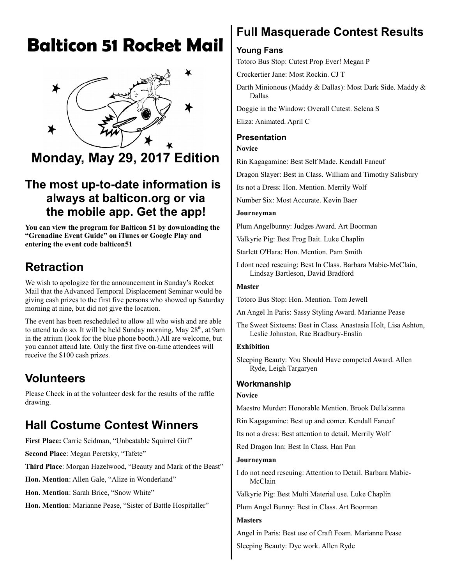# **Balticon 51 Rocket Mail**



# **Monday, May 29, 2017 Edition**

# **The most up-to-date information is always at balticon.org or via the mobile app. Get the app!**

**You can view the program for Balticon 51 by downloading the "Grenadine Event Guide" on iTunes or Google Play and entering the event code balticon51**

# **Retraction**

We wish to apologize for the announcement in Sunday's Rocket Mail that the Advanced Temporal Displacement Seminar would be giving cash prizes to the first five persons who showed up Saturday morning at nine, but did not give the location.

The event has been rescheduled to allow all who wish and are able to attend to do so. It will be held Sunday morning, May 28<sup>th</sup>, at 9am in the atrium (look for the blue phone booth.) All are welcome, but you cannot attend late. Only the first five on-time attendees will receive the \$100 cash prizes.

# **Volunteers**

Please Check in at the volunteer desk for the results of the raffle drawing.

# **Hall Costume Contest Winners**

**First Place:** Carrie Seidman, "Unbeatable Squirrel Girl"

**Second Place**: Megan Peretsky, "Tafete"

**Third Place**: Morgan Hazelwood, "Beauty and Mark of the Beast"

**Hon. Mention**: Allen Gale, "Alize in Wonderland"

**Hon. Mention**: Sarah Brice, "Snow White"

**Hon. Mention**: Marianne Pease, "Sister of Battle Hospitaller"

# **Full Masquerade Contest Results**

# **Young Fans**

Totoro Bus Stop: Cutest Prop Ever! Megan P

Crockertier Jane: Most Rockin. CJ T

Darth Minionous (Maddy & Dallas): Most Dark Side. Maddy & Dallas

Doggie in the Window: Overall Cutest. Selena S

Eliza: Animated. April C

### **Presentation**

**Novice**

Rin Kagagamine: Best Self Made. Kendall Faneuf

Dragon Slayer: Best in Class. William and Timothy Salisbury

Its not a Dress: Hon. Mention. Merrily Wolf

Number Six: Most Accurate. Kevin Baer

#### **Journeyman**

Plum Angelbunny: Judges Award. Art Boorman

Valkyrie Pig: Best Frog Bait. Luke Chaplin

Starlett O'Hara: Hon. Mention. Pam Smith

I dont need rescuing: Best In Class. Barbara Mabie-McClain, Lindsay Bartleson, David Bradford

#### **Master**

Totoro Bus Stop: Hon. Mention. Tom Jewell

An Angel In Paris: Sassy Styling Award. Marianne Pease

The Sweet Sixteens: Best in Class. Anastasia Holt, Lisa Ashton, Leslie Johnston, Rae Bradbury-Enslin

#### **Exhibition**

Sleeping Beauty: You Should Have competed Award. Allen Ryde, Leigh Targaryen

### **Workmanship**

#### **Novice**

Maestro Murder: Honorable Mention. Brook Della'zanna

Rin Kagagamine: Best up and comer. Kendall Faneuf

Its not a dress: Best attention to detail. Merrily Wolf

Red Dragon Inn: Best In Class. Han Pan

#### **Journeyman**

I do not need rescuing: Attention to Detail. Barbara Mabie-McClain

Valkyrie Pig: Best Multi Material use. Luke Chaplin

Plum Angel Bunny: Best in Class. Art Boorman

## **Masters**

Angel in Paris: Best use of Craft Foam. Marianne Pease

Sleeping Beauty: Dye work. Allen Ryde